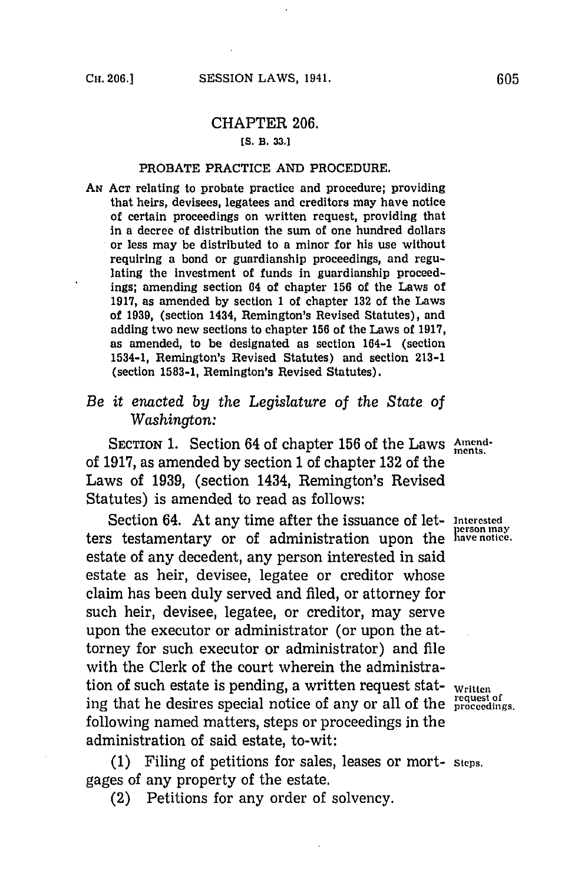## CHAPTER **206.**

## **[S. B. 33.]**

## **PROBATE PRACTICE AND PROCEDURE.**

**AN ACT** relating to probate practice and procedure; providing that heirs, devisees, legatees and creditors may have notice of certain proceedings on written request, providing that in a decree of distribution the sum of one hundred dollars or less may be distributed to a minor for his use without requiring a bond or guardianship proceedings, and regulating the investment of funds in guardianship proceedings; amending section 64 of chapter **156** of the Laws of **1917,** as amended **by** section **1** of chapter **132** of the Laws of **1939,** (section 1434, Remington's Revised Statutes), and **adding two new sections to chapter 156 of the Laws of 1917, as amended, to be designated as section 164-1 (section** 1534-1, Remington's Revised Statutes) and section **213-1** (section **1583-1,** Remington's Revised Statutes).

## *Be it enacted by the Legislature of the State of Washington:*

**SECTION 1.** Section 64 of chapter 156 of the Laws Amendof **1917,** as amended **by** section 1 of chapter **132** of the Laws of **1939,** (section 1434, Remington's Revised Statutes) is amended to read as follows:

Section 64. At any time after the issuance of let-Interested ters testamentary or of administration upon the lave notice. estate of any decedent, any person interested in said estate as heir, devisee, legatee or creditor whose claim has been duly served and filed, or attorney for such heir, devisee, legatee, or creditor, may serve upon the executor or administrator (or upon the attorney for such executor or administrator) and file with the Clerk of the court wherein the administration of such estate is pending, a written request stat- written ing that he desires special notice of any or all of the proceedings. following named matters, steps or proceedings in the administration of said estate, to-wit:

**(1)** Filing of petitions for sales, leases or Mort- steps. gages of any property of the estate.

(2) Petitions for any order of solvency.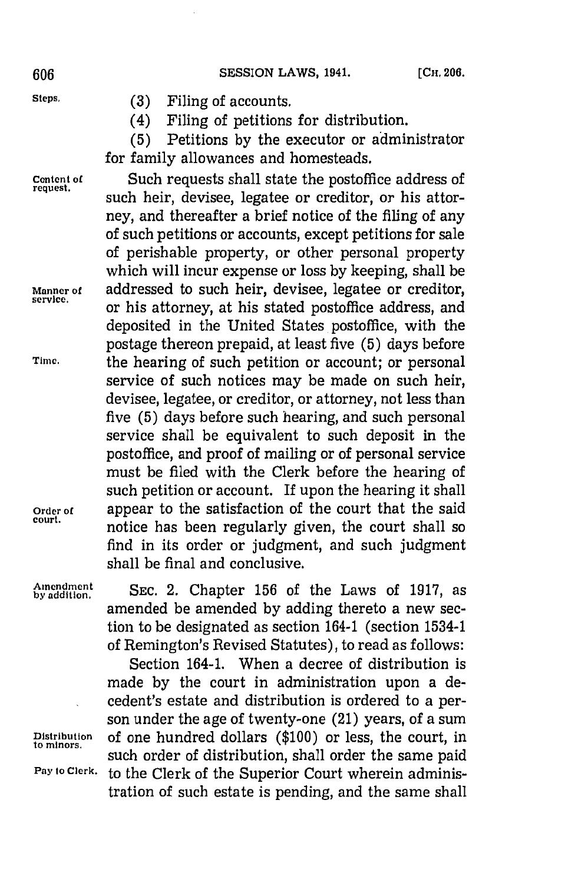- **Steps. (3)** Filing of accounts.
	- (4) Filing of petitions for distribution.

**(5)** Petitions **by** the executor or administrator for family allowances and homesteads.

**Content of** Such requests shall state the postoffice address of such heir, devisee, legatee or creditor, or his attorney, and thereafter a brief notice of the filing of any of such petitions or accounts, except petitions for sale of perishable property, or other personal property which will incur expense or loss **by** keeping, shall be **Manner of** addressed to such heir, devisee, legatee or creditor, **service,** or his attorney, at his stated postoffice address, and deposited in the United States postoffice, with the postage thereon prepaid, at least five **(5)** days before **Tinme.** the hearing of such petition or account; or personal service of such notices may be made on such heir, devisee, legatee, or creditor, or attorney, not less than five **(5)** days before such hearing, and such personal service shall be equivalent to such deposit in the postoffice, and proof of mailing or of personal service must be filed with the Clerk before the hearing of such petition or account. If upon the hearing it shall **Order of** appear to the satisfaction of the court that the said **court,** notice has been regularly given, the court shall so find in its order or judgment, and such judgment shall be final and conclusive.

**bymeddmtint SEC.** 2. Chapter **156** of the Laws of **1917,** as amended be amended **by** adding thereto a new section to be designated as section 164-1 (section 1534-1 of Remington's Revised Statutes), to read as follows:

Section 164-1. When a decree of distribution is made **by** the court in administration upon a decedent's estate and distribution is ordered to a person under the age of twenty-one (21) years, of a sum **Distribution** of one hundred dollars **(\$100)** or less, the court, in such order of distribution, shall order the same paid Pay to Clerk, to the Clerk of the Superior Court wherein administration of such estate is pending, and the same shall